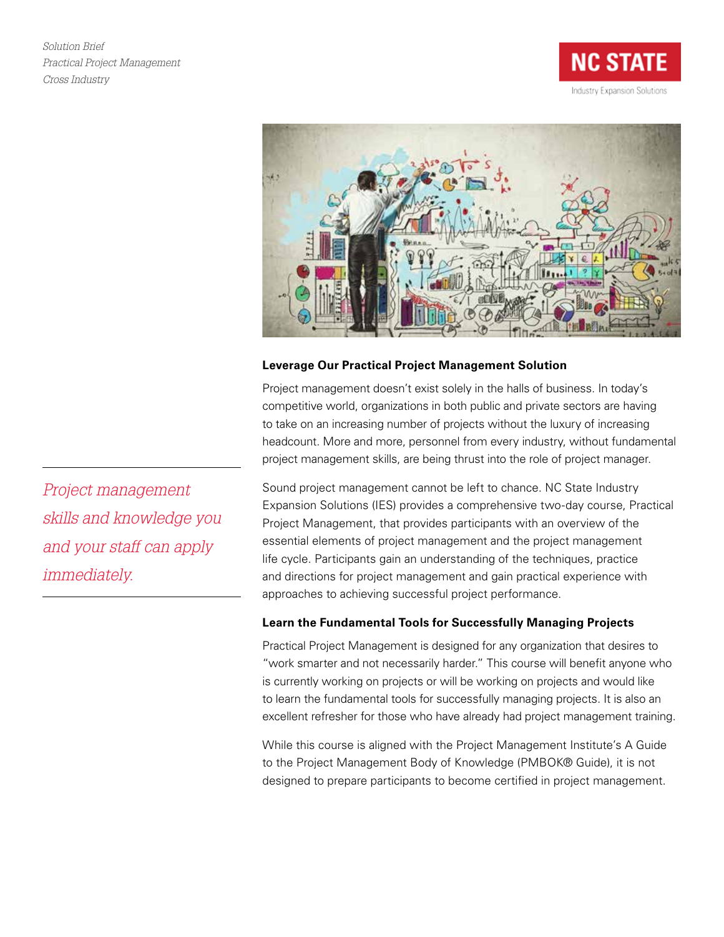*Solution Brief Practical Project Management Cross Industry*





# **Leverage Our Practical Project Management Solution**

Project management doesn't exist solely in the halls of business. In today's competitive world, organizations in both public and private sectors are having to take on an increasing number of projects without the luxury of increasing headcount. More and more, personnel from every industry, without fundamental project management skills, are being thrust into the role of project manager.

Sound project management cannot be left to chance. NC State Industry Expansion Solutions (IES) provides a comprehensive two-day course, Practical Project Management, that provides participants with an overview of the essential elements of project management and the project management life cycle. Participants gain an understanding of the techniques, practice and directions for project management and gain practical experience with approaches to achieving successful project performance.

## **Learn the Fundamental Tools for Successfully Managing Projects**

Practical Project Management is designed for any organization that desires to "work smarter and not necessarily harder." This course will benefit anyone who is currently working on projects or will be working on projects and would like to learn the fundamental tools for successfully managing projects. It is also an excellent refresher for those who have already had project management training.

While this course is aligned with the Project Management Institute's A Guide to the Project Management Body of Knowledge (PMBOK® Guide), it is not designed to prepare participants to become certified in project management.

*Project management skills and knowledge you and your staff can apply immediately.*